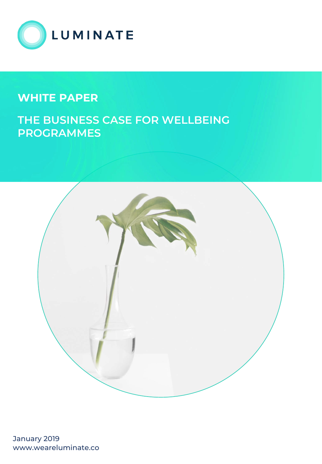

## **WHITE PAPER**

## **THE BUSINESS CASE FOR WELLBEING PROGRAMMES**



January 2019 www.weareluminate.co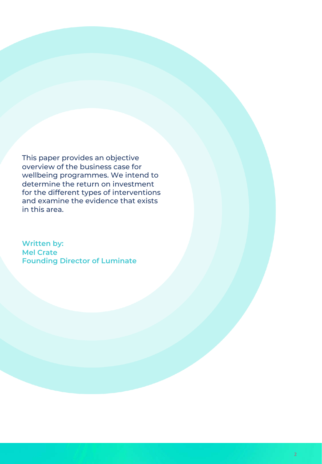This paper provides an objective overview of the business case for wellbeing programmes. We intend to determine the return on investment for the different types of interventions and examine the evidence that exists in this area.

**Written by: Mel Crate Founding Director of Luminate**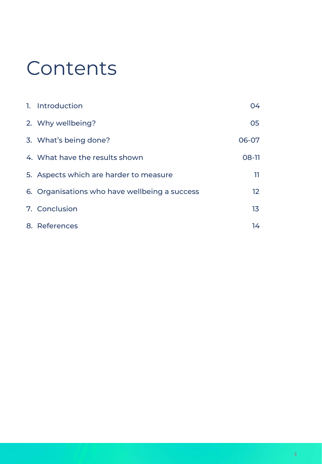# Contents

| 1. Introduction                               | 04.   |
|-----------------------------------------------|-------|
| 2. Why wellbeing?                             | 05    |
| 3. What's being done?                         | 06-07 |
| 4. What have the results shown                | 08-11 |
| 5. Aspects which are harder to measure        | -11   |
| 6. Organisations who have wellbeing a success | 12    |
| 7. Conclusion                                 | 13    |
| 8. References                                 | 14    |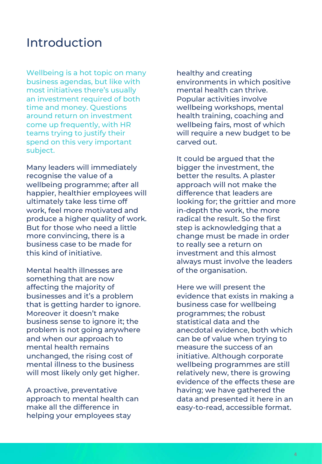## Introduction

Wellbeing is a hot topic on many business agendas, but like with most initiatives there's usually an investment required of both time and money. Questions around return on investment come up frequently, with HR teams trying to justify their spend on this very important subject.

Many leaders will immediately recognise the value of a wellbeing programme; after all happier, healthier employees will ultimately take less time off work, feel more motivated and produce a higher quality of work. But for those who need a little more convincing, there is a business case to be made for this kind of initiative.

Mental health illnesses are something that are now affecting the majority of businesses and it's a problem that is getting harder to ignore. Moreover it doesn't make business sense to ignore it; the problem is not going anywhere and when our approach to mental health remains unchanged, the rising cost of mental illness to the business will most likely only get higher.

A proactive, preventative approach to mental health can make all the difference in helping your employees stay

healthy and creating environments in which positive mental health can thrive. Popular activities involve wellbeing workshops, mental health training, coaching and wellbeing fairs, most of which will require a new budget to be carved out.

It could be argued that the bigger the investment, the better the results. A plaster approach will not make the difference that leaders are looking for; the grittier and more in-depth the work, the more radical the result. So the first step is acknowledging that a change must be made in order to really see a return on investment and this almost always must involve the leaders of the organisation.

Here we will present the evidence that exists in making a business case for wellbeing programmes; the robust statistical data and the anecdotal evidence, both which can be of value when trying to measure the success of an initiative. Although corporate wellbeing programmes are still relatively new, there is growing evidence of the effects these are having; we have gathered the data and presented it here in an easy-to-read, accessible format.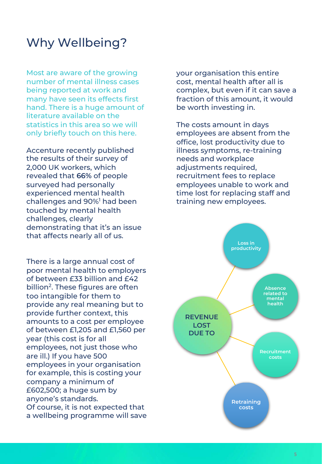## Why Wellbeing?

Most are aware of the growing number of mental illness cases being reported at work and many have seen its effects first hand. There is a huge amount of literature available on the statistics in this area so we will only briefly touch on this here.

Accenture recently published the results of their survey of 2,000 UK workers, which revealed that **66%** of people surveyed had personally experienced mental health challenges and 90%1 had been touched by mental health challenges, clearly demonstrating that it's an issue that affects nearly all of us.

There is a large annual cost of poor mental health to employers of between £33 billion and £42 billion<sup>2</sup>. These figures are often too intangible for them to provide any real meaning but to provide further context, this amounts to a cost per employee of between £1,205 and £1,560 per year (this cost is for all employees, not just those who are ill.) If you have 500 employees in your organisation for example, this is costing your company a minimum of £602,500; a huge sum by anyone's standards. Of course, it is not expected that a wellbeing programme will save your organisation this entire cost, mental health after all is complex, but even if it can save a fraction of this amount, it would be worth investing in.

The costs amount in days employees are absent from the office, lost productivity due to illness symptoms, re-training needs and workplace adjustments required, recruitment fees to replace employees unable to work and time lost for replacing staff and training new employees.

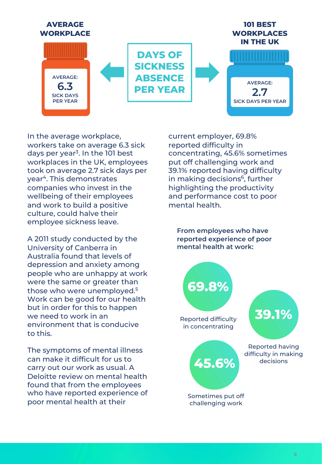

In the average workplace, workers take on average 6.3 sick days per year<sup>3</sup>. In the 101 best workplaces in the UK, employees took on average 2.7 sick days per year4. This demonstrates companies who invest in the wellbeing of their employees and work to build a positive culture, could halve their employee sickness leave.

A 2011 study conducted by the University of Canberra in Australia found that levels of depression and anxiety among people who are unhappy at work were the same or greater than those who were unemployed.<sup>5</sup> Work can be good for our health but in order for this to happen we need to work in an environment that is conducive to this.

The symptoms of mental illness can make it difficult for us to carry out our work as usual. A Deloitte review on mental health found that from the employees who have reported experience of poor mental health at their

current employer, 69.8% reported difficulty in concentrating, 45.6% sometimes put off challenging work and 39.1% reported having difficulty in making decisions<sup>6</sup>, further highlighting the productivity and performance cost to poor mental health.

**From employees who have reported experience of poor mental health at work:**

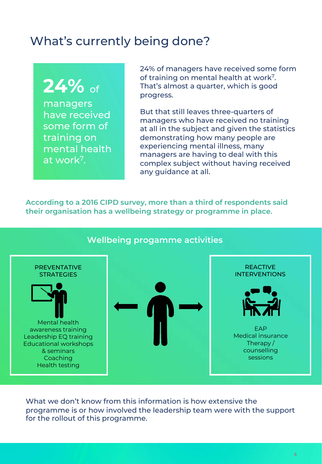# What's currently being done?

# **24%** of

managers have received some form of training on mental health at work7.

24% of managers have received some form of training on mental health at work<sup>7</sup>. That's almost a quarter, which is good progress.

But that still leaves three-quarters of managers who have received no training at all in the subject and given the statistics demonstrating how many people are experiencing mental illness, many managers are having to deal with this complex subject without having received any guidance at all.

**According to a 2016 CIPD survey, more than a third of respondents said their organisation has a wellbeing strategy or programme in place.** 

#### **Wellbeing progamme activities** Mental health awareness training Leadership EQ training Educational workshops & seminars **Coaching** Health testing **FAP** Medical insurance Therapy / counselling sessions PREVENTATIVE STRATEGIES REACTIVE INTERVENTIONS

What we don't know from this information is how extensive the programme is or how involved the leadership team were with the support for the rollout of this programme.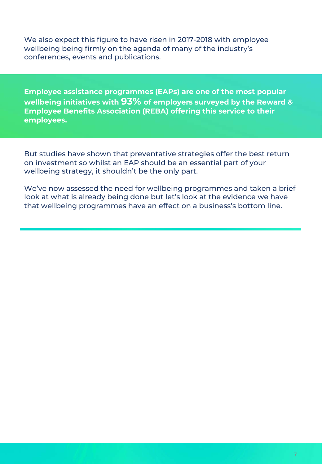We also expect this figure to have risen in 2017-2018 with employee wellbeing being firmly on the agenda of many of the industry's conferences, events and publications.

**Employee assistance programmes (EAPs) are one of the most popular wellbeing initiatives with 93% of employers surveyed by the Reward & Employee Benefits Association (REBA) offering this service to their employees.** 

But studies have shown that preventative strategies offer the best return on investment so whilst an EAP should be an essential part of your wellbeing strategy, it shouldn't be the only part.

We've now assessed the need for wellbeing programmes and taken a brief look at what is already being done but let's look at the evidence we have that wellbeing programmes have an effect on a business's bottom line.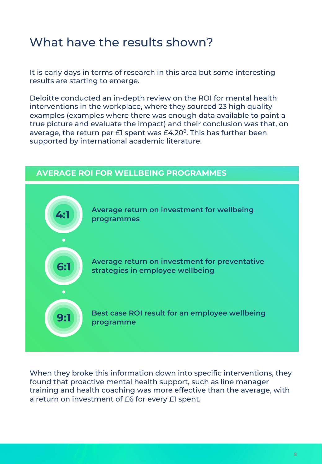# What have the results shown?

It is early days in terms of research in this area but some interesting results are starting to emerge.

Deloitte conducted an in-depth review on the ROI for mental health interventions in the workplace, where they sourced 23 high quality examples (examples where there was enough data available to paint a true picture and evaluate the impact) and their conclusion was that, on average, the return per  $E1$  spent was  $E4.20<sup>8</sup>$ . This has further been supported by international academic literature.

#### **AVERAGE ROI FOR WELLBEING PROGRAMMES**



When they broke this information down into specific interventions, they found that proactive mental health support, such as line manager training and health coaching was more effective than the average, with a return on investment of £6 for every £1 spent.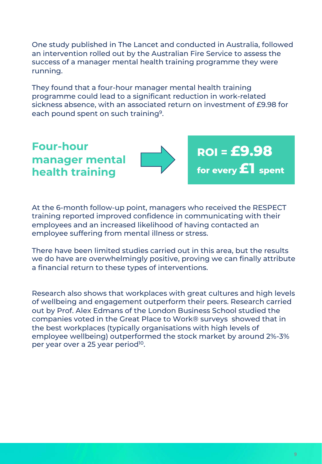One study published in The Lancet and conducted in Australia, followed an intervention rolled out by the Australian Fire Service to assess the success of a manager mental health training programme they were running.

They found that a four-hour manager mental health training programme could lead to a significant reduction in work-related sickness absence, with an associated return on investment of £9.98 for each pound spent on such training<sup>9</sup>.

### **Four-hour manager mental health training**



**ROI = £9.98 for every £1 spent**

At the 6-month follow-up point, managers who received the RESPECT training reported improved confidence in communicating with their employees and an increased likelihood of having contacted an employee suffering from mental illness or stress.

There have been limited studies carried out in this area, but the results we do have are overwhelmingly positive, proving we can finally attribute a financial return to these types of interventions.

Research also shows that workplaces with great cultures and high levels of wellbeing and engagement outperform their peers. Research carried out by Prof. Alex Edmans of the London Business School studied the companies voted in the Great Place to Work® surveys showed that in the best workplaces (typically organisations with high levels of employee wellbeing) outperformed the stock market by around 2%-3% per year over a 25 year period<sup>10</sup>.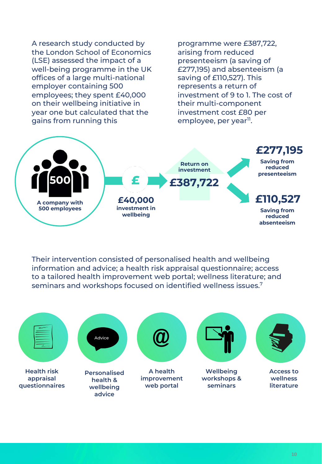A research study conducted by the London School of Economics (LSE) assessed the impact of a well-being programme in the UK offices of a large multi-national employer containing 500 employees; they spent £40,000 on their wellbeing initiative in year one but calculated that the gains from running this

programme were £387,722, arising from reduced presenteeism (a saving of £277,195) and absenteeism (a saving of £110,527). This represents a return of investment of 9 to 1. The cost of their multi-component investment cost £80 per employee, per year<sup>11</sup>.



Their intervention consisted of personalised health and wellbeing information and advice; a health risk appraisal questionnaire; access to a tailored health improvement web portal; wellness literature; and seminars and workshops focused on identified wellness issues.7

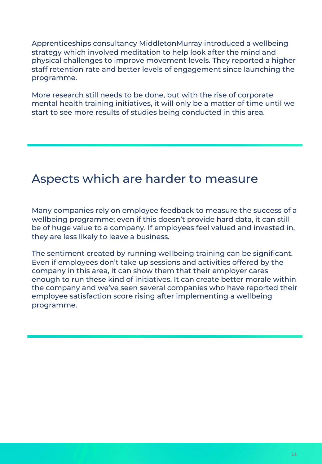Apprenticeships consultancy MiddletonMurray introduced a wellbeing strategy which involved meditation to help look after the mind and physical challenges to improve movement levels. They reported a higher staff retention rate and better levels of engagement since launching the programme.

More research still needs to be done, but with the rise of corporate mental health training initiatives, it will only be a matter of time until we start to see more results of studies being conducted in this area.

## Aspects which are harder to measure

Many companies rely on employee feedback to measure the success of a wellbeing programme; even if this doesn't provide hard data, it can still be of huge value to a company. If employees feel valued and invested in, they are less likely to leave a business.

The sentiment created by running wellbeing training can be significant. Even if employees don't take up sessions and activities offered by the company in this area, it can show them that their employer cares enough to run these kind of initiatives. It can create better morale within the company and we've seen several companies who have reported their employee satisfaction score rising after implementing a wellbeing programme.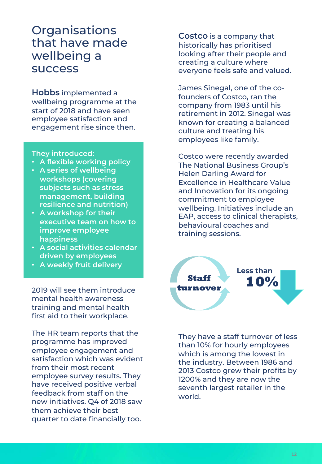## **Organisations** that have made wellbeing a success

**Hobbs** implemented a wellbeing programme at the start of 2018 and have seen employee satisfaction and engagement rise since then.

#### **They introduced:**

- **A flexible working policy**
- **A series of wellbeing workshops (covering subjects such as stress management, building resilience and nutrition)**
- **A workshop for their executive team on how to improve employee happiness**
- **A social activities calendar driven by employees**
- **A weekly fruit delivery**

2019 will see them introduce mental health awareness training and mental health first aid to their workplace.

The HR team reports that the programme has improved employee engagement and satisfaction which was evident from their most recent employee survey results. They have received positive verbal feedback from staff on the new initiatives. Q4 of 2018 saw them achieve their best quarter to date financially too.

**Costco** is a company that historically has prioritised looking after their people and creating a culture where everyone feels safe and valued.

James Sinegal, one of the cofounders of Costco, ran the company from 1983 until his retirement in 2012. Sinegal was known for creating a balanced culture and treating his employees like family.

Costco were recently awarded The National Business Group's Helen Darling Award for Excellence in Healthcare Value and Innovation for its ongoing commitment to employee wellbeing. Initiatives include an EAP, access to clinical therapists, behavioural coaches and training sessions.



They have a staff turnover of less than 10% for hourly employees which is among the lowest in the industry. Between 1986 and 2013 Costco grew their profits by 1200% and they are now the seventh largest retailer in the world.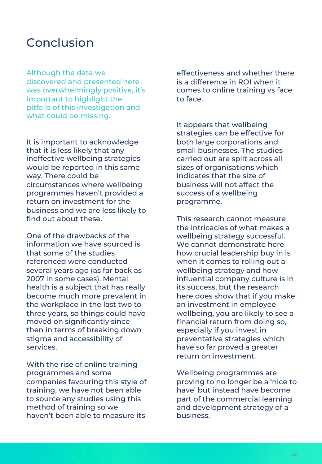## Conclusion

Although the data we discovered and presented here was overwhelmingly positive, it's important to highlight the pitfalls of this investigation and what could be missing.

It is important to acknowledge that it is less likely that any ineffective wellbeing strategies would be reported in this same way. There could be circumstances where wellbeing programmes haven't provided a return on investment for the business and we are less likely to find out about these.

One of the drawbacks of the information we have sourced is that some of the studies referenced were conducted several years ago (as far back as 2007 in some cases). Mental health is a subject that has really become much more prevalent in the workplace in the last two to three years, so things could have moved on significantly since then in terms of breaking down stigma and accessibility of services.

With the rise of online training programmes and some companies favouring this style of training, we have not been able to source any studies using this method of training so we haven't been able to measure its

effectiveness and whether there is a difference in ROI when it comes to online training vs face to face.

It appears that wellbeing strategies can be effective for both large corporations and small businesses. The studies carried out are split across all sizes of organisations which indicates that the size of business will not affect the success of a wellbeing programme.

This research cannot measure the intricacies of what makes a wellbeing strategy successful. We cannot demonstrate here how crucial leadership buy in is when it comes to rolling out a wellbeing strategy and how influential company culture is in its success, but the research here does show that if you make an investment in employee wellbeing, you are likely to see a financial return from doing so, especially if you invest in preventative strategies which have so far proved a greater return on investment.

Wellbeing programmes are proving to no longer be a 'nice to have' but instead have become part of the commercial learning and development strategy of a business.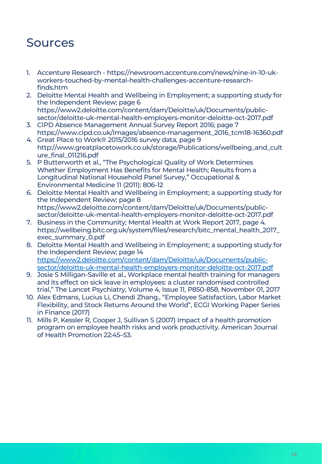# Sources

- 1. Accenture Research https://newsroom.accenture.com/news/nine-in-10-ukworkers-touched-by-mental-health-challenges-accenture-researchfinds.htm
- 2. Deloitte Mental Health and Wellbeing in Employment; a supporting study for the Independent Review; page 6 https://www2.deloitte.com/content/dam/Deloitte/uk/Documents/publicsector/deloitte-uk-mental-health-employers-monitor-deloitte-oct-2017.pdf
- 3. CIPD Absence Management Annual Survey Report 2016; page 7 https://www.cipd.co.uk/Images/absence-management\_2016\_tcm18-16360.pdf
- 4. Great Place to Work® 2015/2016 survey data, page 9 http://www.greatplacetowork.co.uk/storage/Publications/wellbeing\_and\_cult ure\_final\_011216.pdf
- 5. P Butterworth et al., "The Psychological Quality of Work Determines Whether Employment Has Benefits for Mental Health; Results from a Longitudinal National Household Panel Survey," Occupational & Environmental Medicine 11 (2011): 806-12
- 6. Deloitte Mental Health and Wellbeing in Employment; a supporting study for the Independent Review; page 8 https://www2.deloitte.com/content/dam/Deloitte/uk/Documents/publicsector/deloitte-uk-mental-health-employers-monitor-deloitte-oct-2017.pdf
- 7. Business in the Community; Mental Health at Work Report 2017, page 4. https://wellbeing.bitc.org.uk/system/files/research/bitc\_mental\_health\_2017\_ exec\_summary\_0.pdf
- 8. Deloitte Mental Health and Wellbeing in Employment; a supporting study for the Independent Review; page 14 https://www2.deloitte.com/content/dam/Deloitte/uk/Documents/publicsector/deloitte-uk-mental-health-employers-monitor-deloitte-oct-2017.pdf
- 9. Josie S Milligan-Saville et al., Workplace mental health training for managers and its effect on sick leave in employees: a cluster randomised controlled trial," The Lancet Psychiatry, Volume 4, Issue 11, P850-858, November 01, 2017
- 10. Alex Edmans, Lucius Li, Chendi Zhang., "Employee Satisfaction, Labor Market Flexibility, and Stock Returns Around the World", ECGI Working Paper Series in Finance (2017)
- 11. Mills P, Kessler R, Cooper J, Sullivan S (2007) Impact of a health promotion program on employee health risks and work productivity. American Journal of Health Promotion 22:45–53.